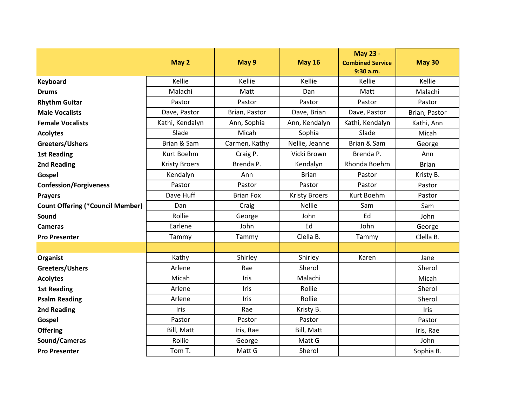|                                         | May 2                | May 9            | <b>May 16</b>        | May 23 -<br><b>Combined Service</b><br>9:30 a.m. | <b>May 30</b> |
|-----------------------------------------|----------------------|------------------|----------------------|--------------------------------------------------|---------------|
| Keyboard                                | Kellie               | Kellie           | Kellie               | Kellie                                           | Kellie        |
| <b>Drums</b>                            | Malachi              | Matt             | Dan                  | Matt                                             | Malachi       |
| <b>Rhythm Guitar</b>                    | Pastor               | Pastor           | Pastor               | Pastor                                           | Pastor        |
| <b>Male Vocalists</b>                   | Dave, Pastor         | Brian, Pastor    | Dave, Brian          | Dave, Pastor                                     | Brian, Pastor |
| <b>Female Vocalists</b>                 | Kathi, Kendalyn      | Ann, Sophia      | Ann, Kendalyn        | Kathi, Kendalyn                                  | Kathi, Ann    |
| <b>Acolytes</b>                         | Slade                | Micah            | Sophia               | Slade                                            | Micah         |
| Greeters/Ushers                         | Brian & Sam          | Carmen, Kathy    | Nellie, Jeanne       | Brian & Sam                                      | George        |
| <b>1st Reading</b>                      | Kurt Boehm           | Craig P.         | Vicki Brown          | Brenda P.                                        | Ann           |
| 2nd Reading                             | <b>Kristy Broers</b> | Brenda P.        | Kendalyn             | Rhonda Boehm                                     | <b>Brian</b>  |
| Gospel                                  | Kendalyn             | Ann              | <b>Brian</b>         | Pastor                                           | Kristy B.     |
| <b>Confession/Forgiveness</b>           | Pastor               | Pastor           | Pastor               | Pastor                                           | Pastor        |
| <b>Prayers</b>                          | Dave Huff            | <b>Brian Fox</b> | <b>Kristy Broers</b> | Kurt Boehm                                       | Pastor        |
| <b>Count Offering (*Council Member)</b> | Dan                  | Craig            | <b>Nellie</b>        | Sam                                              | Sam           |
| Sound                                   | Rollie               | George           | John                 | Ed                                               | John          |
| <b>Cameras</b>                          | Earlene              | John             | Ed                   | John                                             | George        |
| <b>Pro Presenter</b>                    | Tammy                | Tammy            | Clella B.            | Tammy                                            | Clella B.     |
|                                         |                      |                  |                      |                                                  |               |
| Organist                                | Kathy                | Shirley          | Shirley              | Karen                                            | Jane          |
| Greeters/Ushers                         | Arlene               | Rae              | Sherol               |                                                  | Sherol        |
| <b>Acolytes</b>                         | Micah                | Iris             | Malachi              |                                                  | Micah         |
| <b>1st Reading</b>                      | Arlene               | Iris             | Rollie               |                                                  | Sherol        |
| <b>Psalm Reading</b>                    | Arlene               | Iris             | Rollie               |                                                  | Sherol        |
| 2nd Reading                             | Iris                 | Rae              | Kristy B.            |                                                  | Iris          |
| Gospel                                  | Pastor               | Pastor           | Pastor               |                                                  | Pastor        |
| <b>Offering</b>                         | Bill, Matt           | Iris, Rae        | Bill, Matt           |                                                  | Iris, Rae     |
| Sound/Cameras                           | Rollie               | George           | Matt G               |                                                  | John          |
| <b>Pro Presenter</b>                    | Tom T.               | Matt G           | Sherol               |                                                  | Sophia B.     |